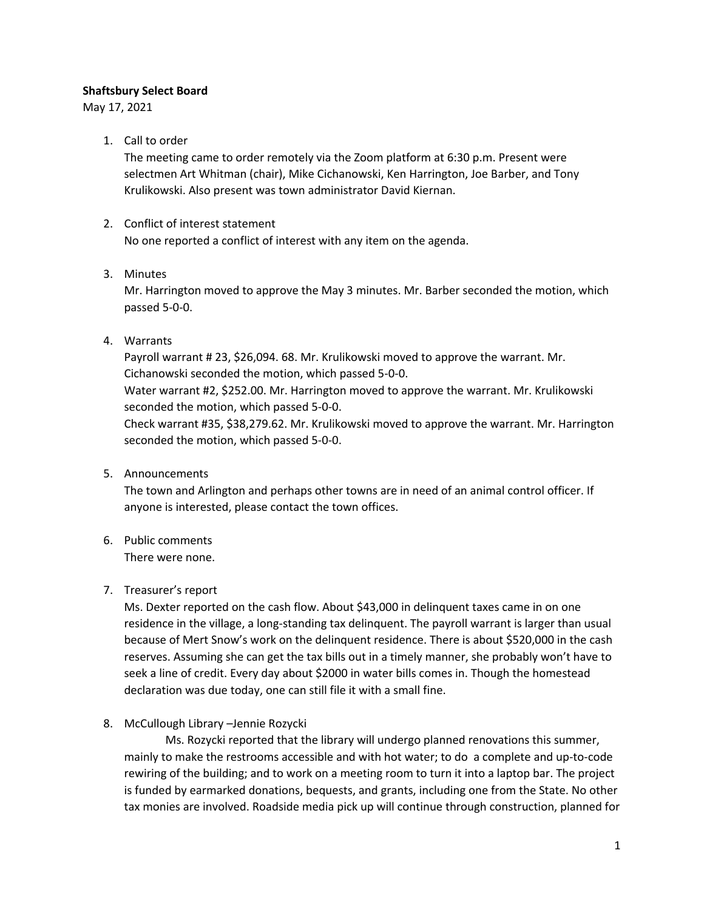## **Shaftsbury Select Board**

May 17, 2021

1. Call to order

The meeting came to order remotely via the Zoom platform at 6:30 p.m. Present were selectmen Art Whitman (chair), Mike Cichanowski, Ken Harrington, Joe Barber, and Tony Krulikowski. Also present was town administrator David Kiernan.

# 2. Conflict of interest statement

No one reported a conflict of interest with any item on the agenda.

3. Minutes

Mr. Harrington moved to approve the May 3 minutes. Mr. Barber seconded the motion, which passed 5-0-0.

4. Warrants

Payroll warrant # 23, \$26,094. 68. Mr. Krulikowski moved to approve the warrant. Mr. Cichanowski seconded the motion, which passed 5-0-0. Water warrant #2, \$252.00. Mr. Harrington moved to approve the warrant. Mr. Krulikowski seconded the motion, which passed 5-0-0. Check warrant #35, \$38,279.62. Mr. Krulikowski moved to approve the warrant. Mr. Harrington seconded the motion, which passed 5-0-0.

5. Announcements

The town and Arlington and perhaps other towns are in need of an animal control officer. If anyone is interested, please contact the town offices.

6. Public comments There were none.

# 7. Treasurer's report

Ms. Dexter reported on the cash flow. About \$43,000 in delinquent taxes came in on one residence in the village, a long-standing tax delinquent. The payroll warrant is larger than usual because of Mert Snow's work on the delinquent residence. There is about \$520,000 in the cash reserves. Assuming she can get the tax bills out in a timely manner, she probably won't have to seek a line of credit. Every day about \$2000 in water bills comes in. Though the homestead declaration was due today, one can still file it with a small fine.

8. McCullough Library –Jennie Rozycki

Ms. Rozycki reported that the library will undergo planned renovations this summer, mainly to make the restrooms accessible and with hot water; to do a complete and up-to-code rewiring of the building; and to work on a meeting room to turn it into a laptop bar. The project is funded by earmarked donations, bequests, and grants, including one from the State. No other tax monies are involved. Roadside media pick up will continue through construction, planned for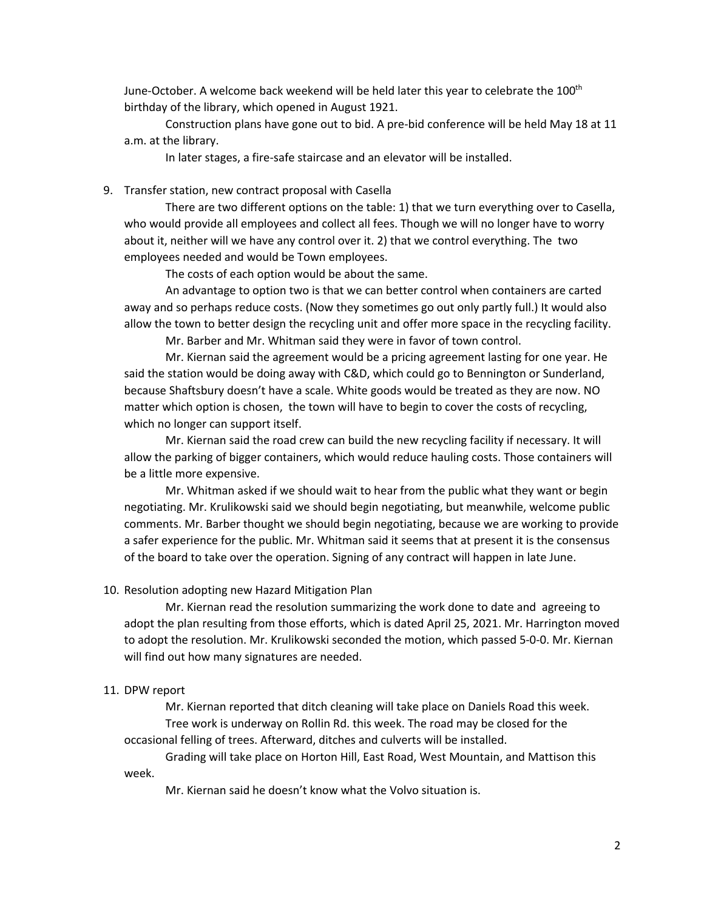June-October. A welcome back weekend will be held later this year to celebrate the 100<sup>th</sup> birthday of the library, which opened in August 1921.

Construction plans have gone out to bid. A pre-bid conference will be held May 18 at 11 a.m. at the library.

In later stages, a fire-safe staircase and an elevator will be installed.

9. Transfer station, new contract proposal with Casella

There are two different options on the table: 1) that we turn everything over to Casella, who would provide all employees and collect all fees. Though we will no longer have to worry about it, neither will we have any control over it. 2) that we control everything. The two employees needed and would be Town employees.

The costs of each option would be about the same.

An advantage to option two is that we can better control when containers are carted away and so perhaps reduce costs. (Now they sometimes go out only partly full.) It would also allow the town to better design the recycling unit and offer more space in the recycling facility.

Mr. Barber and Mr. Whitman said they were in favor of town control.

Mr. Kiernan said the agreement would be a pricing agreement lasting for one year. He said the station would be doing away with C&D, which could go to Bennington or Sunderland, because Shaftsbury doesn't have a scale. White goods would be treated as they are now. NO matter which option is chosen, the town will have to begin to cover the costs of recycling, which no longer can support itself.

Mr. Kiernan said the road crew can build the new recycling facility if necessary. It will allow the parking of bigger containers, which would reduce hauling costs. Those containers will be a little more expensive.

Mr. Whitman asked if we should wait to hear from the public what they want or begin negotiating. Mr. Krulikowski said we should begin negotiating, but meanwhile, welcome public comments. Mr. Barber thought we should begin negotiating, because we are working to provide a safer experience for the public. Mr. Whitman said it seems that at present it is the consensus of the board to take over the operation. Signing of any contract will happen in late June.

### 10. Resolution adopting new Hazard Mitigation Plan

Mr. Kiernan read the resolution summarizing the work done to date and agreeing to adopt the plan resulting from those efforts, which is dated April 25, 2021. Mr. Harrington moved to adopt the resolution. Mr. Krulikowski seconded the motion, which passed 5-0-0. Mr. Kiernan will find out how many signatures are needed.

#### 11. DPW report

Mr. Kiernan reported that ditch cleaning will take place on Daniels Road this week. Tree work is underway on Rollin Rd. this week. The road may be closed for the occasional felling of trees. Afterward, ditches and culverts will be installed.

Grading will take place on Horton Hill, East Road, West Mountain, and Mattison this week.

Mr. Kiernan said he doesn't know what the Volvo situation is.